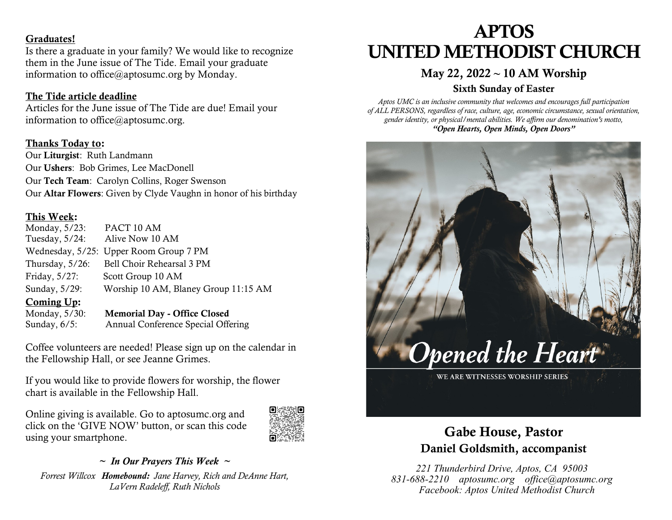#### Graduates!

Is there a graduate in your family? We would like to recognize them in the June issue of The Tide. Email your graduate information to office@aptosumc.org by Monday.

#### The Tide article deadline

Articles for the June issue of The Tide are due! Email your information to office@aptosumc.org.

#### Thanks Today to:

Our Liturgist: Ruth Landmann Our Ushers: Bob Grimes, Lee MacDonell Our Tech Team: Carolyn Collins, Roger Swenson Our Altar Flowers: Given by Clyde Vaughn in honor of his birthday

#### This Week:

| Monday, $5/23$ :   | PACT 10 AM                             |
|--------------------|----------------------------------------|
| Tuesday, $5/24$ :  | Alive Now 10 AM                        |
|                    | Wednesday, 5/25: Upper Room Group 7 PM |
| Thursday, $5/26$ : | Bell Choir Rehearsal 3 PM              |
| Friday, 5/27:      | Scott Group 10 AM                      |
| Sunday, 5/29:      | Worship 10 AM, Blaney Group 11:15 AM   |
| Coming Up:         |                                        |

Monday, 5/30: Memorial Day - Office Closed Sunday, 6/5: Annual Conference Special Offering

Coffee volunteers are needed! Please sign up on the calendar in the Fellowship Hall, or see Jeanne Grimes.

If you would like to provide flowers for worship, the flower chart is available in the Fellowship Hall.

Online giving is available. Go to aptosumc.org and click on the 'GIVE NOW' button, or scan this code using your smartphone.



#### *~ In Our Prayers This Week ~ Forrest Willcox Homebound: Jane Harvey, Rich and DeAnne Hart, LaVern Radeleff, Ruth Nichols*

# APTOS UNITED METHODIST CHURCH

### May 22, 2022 **~** 10 AM Worship

#### Sixth Sunday of Easter

*Aptos UMC is an inclusive community that welcomes and encourages full participation of ALL PERSONS, regardless of race, culture, age, economic circumstance, sexual orientation, gender identity, or physical/mental abilities. We affirm our denomination's motto, "Open Hearts, Open Minds, Open Doors"*



## Gabe House, Pastor Daniel Goldsmith, accompanist

*221 Thunderbird Drive, Aptos, CA 95003 831-688-2210 aptosumc.org office@aptosumc.org Facebook: Aptos United Methodist Church*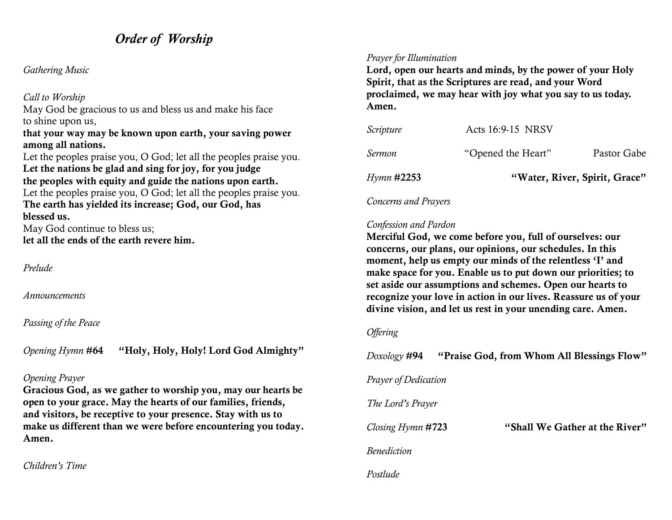## *Order of Worship*

#### *Gathering Music*

#### *Call to Worship*

May God be gracious to us and bless us and make his face to shine upon us,

#### that your way may be known upon earth, your saving power among all nations.

Let the peoples praise you, O God; let all the peoples praise you. Let the nations be glad and sing for joy, for you judge the peoples with equity and guide the nations upon earth. Let the peoples praise you, O God; let all the peoples praise you. The earth has yielded its increase; God, our God, has blessed us. May God continue to bless us; let all the ends of the earth revere him.

*Prelude*

*Announcements*

#### *Passing of the Peace*

*Opening Hymn* #64 "Holy, Holy, Holy! Lord God Almighty"

#### *Opening Prayer*

Gracious God, as we gather to worship you, may our hearts be open to your grace. May the hearts of our families, friends, and visitors, be receptive to your presence. Stay with us to make us different than we were before encountering you today. Amen.

*Children's Time*

#### *Prayer for Illumination*

Lord, open our hearts and minds, by the power of your Holy Spirit, that as the Scriptures are read, and your Word proclaimed, we may hear with joy what you say to us today. Amen.

| <i>Hymn</i> # <b>2253</b> | "Water, River, Spirit, Grace" |             |
|---------------------------|-------------------------------|-------------|
| Sermon                    | "Opened the Heart"            | Pastor Gabe |
| Scripture                 | Acts 16:9-15 NRSV             |             |

*Concerns and Prayers*

#### *Confession and Pardon*

Merciful God, we come before you, full of ourselves: our concerns, our plans, our opinions, our schedules. In this moment, help us empty our minds of the relentless 'I' and make space for you. Enable us to put down our priorities; to set aside our assumptions and schemes. Open our hearts to recognize your love in action in our lives. Reassure us of your divine vision, and let us rest in your unending care. Amen.

#### *Offering*

*Doxology* #94 "Praise God, from Whom All Blessings Flow" *Prayer of Dedication The Lord's Prayer Closing Hymn* #723 "Shall We Gather at the River" *Benediction Postlude*